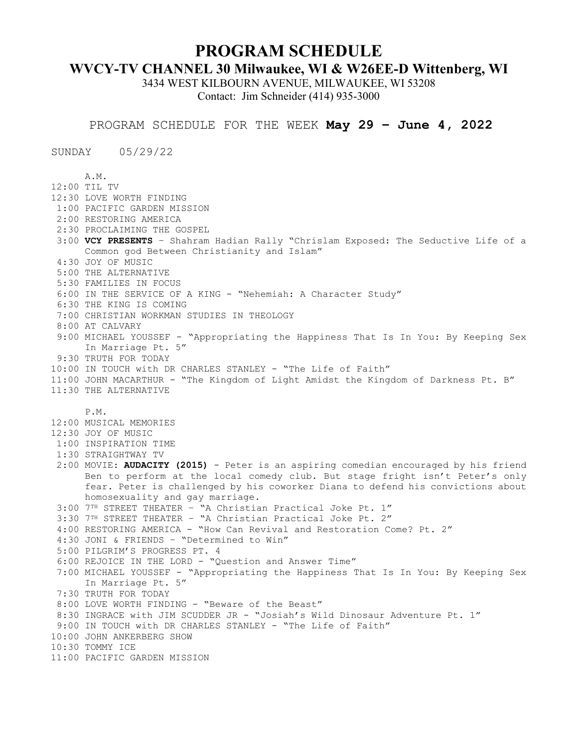## **PROGRAM SCHEDULE**

## **WVCY-TV CHANNEL 30 Milwaukee, WI & W26EE-D Wittenberg, WI**

3434 WEST KILBOURN AVENUE, MILWAUKEE, WI 53208 Contact: Jim Schneider (414) 935-3000

PROGRAM SCHEDULE FOR THE WEEK **May 29 – June 4, 2022**

SUNDAY 05/29/22

 A.M. 12:00 TIL TV 12:30 LOVE WORTH FINDING 1:00 PACIFIC GARDEN MISSION 2:00 RESTORING AMERICA 2:30 PROCLAIMING THE GOSPEL 3:00 **VCY PRESENTS** – Shahram Hadian Rally "Chrislam Exposed: The Seductive Life of a Common god Between Christianity and Islam" 4:30 JOY OF MUSIC 5:00 THE ALTERNATIVE 5:30 FAMILIES IN FOCUS 6:00 IN THE SERVICE OF A KING - "Nehemiah: A Character Study" 6:30 THE KING IS COMING 7:00 CHRISTIAN WORKMAN STUDIES IN THEOLOGY 8:00 AT CALVARY 9:00 MICHAEL YOUSSEF - "Appropriating the Happiness That Is In You: By Keeping Sex In Marriage Pt. 5" 9:30 TRUTH FOR TODAY 10:00 IN TOUCH with DR CHARLES STANLEY - "The Life of Faith" 11:00 JOHN MACARTHUR - "The Kingdom of Light Amidst the Kingdom of Darkness Pt. B" 11:30 THE ALTERNATIVE P.M. 12:00 MUSICAL MEMORIES 12:30 JOY OF MUSIC 1:00 INSPIRATION TIME 1:30 STRAIGHTWAY TV 2:00 MOVIE: **AUDACITY (2015)** - Peter is an aspiring comedian encouraged by his friend Ben to perform at the local comedy club. But stage fright isn't Peter's only fear. Peter is challenged by his coworker Diana to defend his convictions about homosexuality and gay marriage. 3:00 7TH STREET THEATER – "A Christian Practical Joke Pt. 1" 3:30 7TH STREET THEATER – "A Christian Practical Joke Pt. 2" 4:00 RESTORING AMERICA - "How Can Revival and Restoration Come? Pt. 2" 4:30 JONI & FRIENDS – "Determined to Win" 5:00 PILGRIM'S PROGRESS PT. 4 6:00 REJOICE IN THE LORD - "Question and Answer Time" 7:00 MICHAEL YOUSSEF - "Appropriating the Happiness That Is In You: By Keeping Sex In Marriage Pt. 5" 7:30 TRUTH FOR TODAY 8:00 LOVE WORTH FINDING - "Beware of the Beast" 8:30 INGRACE with JIM SCUDDER JR - "Josiah's Wild Dinosaur Adventure Pt. 1" 9:00 IN TOUCH with DR CHARLES STANLEY - "The Life of Faith" 10:00 JOHN ANKERBERG SHOW 10:30 TOMMY ICE 11:00 PACIFIC GARDEN MISSION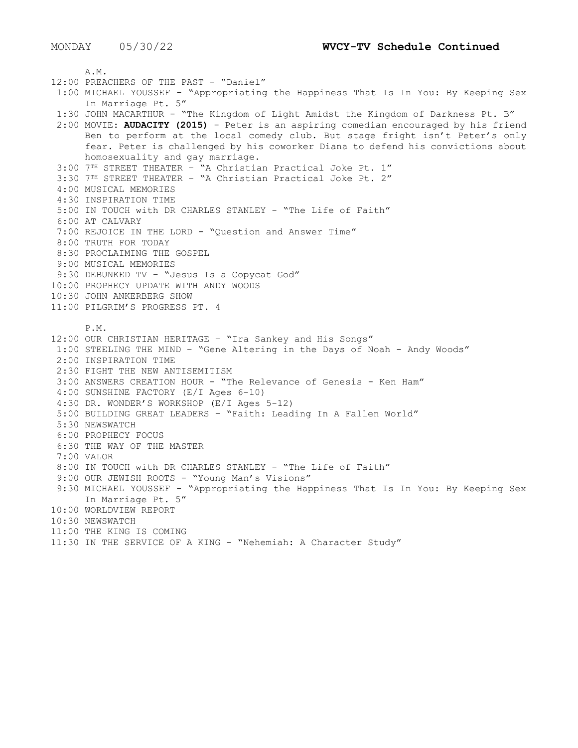A.M. 12:00 PREACHERS OF THE PAST - "Daniel" 1:00 MICHAEL YOUSSEF - "Appropriating the Happiness That Is In You: By Keeping Sex In Marriage Pt. 5" 1:30 JOHN MACARTHUR - "The Kingdom of Light Amidst the Kingdom of Darkness Pt. B" 2:00 MOVIE: **AUDACITY (2015)** - Peter is an aspiring comedian encouraged by his friend Ben to perform at the local comedy club. But stage fright isn't Peter's only fear. Peter is challenged by his coworker Diana to defend his convictions about homosexuality and gay marriage. 3:00 7TH STREET THEATER – "A Christian Practical Joke Pt. 1" 3:30 7TH STREET THEATER – "A Christian Practical Joke Pt. 2" 4:00 MUSICAL MEMORIES 4:30 INSPIRATION TIME 5:00 IN TOUCH with DR CHARLES STANLEY - "The Life of Faith" 6:00 AT CALVARY 7:00 REJOICE IN THE LORD - "Question and Answer Time" 8:00 TRUTH FOR TODAY 8:30 PROCLAIMING THE GOSPEL 9:00 MUSICAL MEMORIES 9:30 DEBUNKED TV – "Jesus Is a Copycat God" 10:00 PROPHECY UPDATE WITH ANDY WOODS 10:30 JOHN ANKERBERG SHOW 11:00 PILGRIM'S PROGRESS PT. 4 P.M. 12:00 OUR CHRISTIAN HERITAGE – "Ira Sankey and His Songs" 1:00 STEELING THE MIND – "Gene Altering in the Days of Noah - Andy Woods" 2:00 INSPIRATION TIME 2:30 FIGHT THE NEW ANTISEMITISM 3:00 ANSWERS CREATION HOUR - "The Relevance of Genesis - Ken Ham" 4:00 SUNSHINE FACTORY (E/I Ages 6-10) 4:30 DR. WONDER'S WORKSHOP (E/I Ages 5-12) 5:00 BUILDING GREAT LEADERS – "Faith: Leading In A Fallen World" 5:30 NEWSWATCH 6:00 PROPHECY FOCUS 6:30 THE WAY OF THE MASTER 7:00 VALOR 8:00 IN TOUCH with DR CHARLES STANLEY - "The Life of Faith" 9:00 OUR JEWISH ROOTS - "Young Man's Visions" 9:30 MICHAEL YOUSSEF - "Appropriating the Happiness That Is In You: By Keeping Sex In Marriage Pt. 5" 10:00 WORLDVIEW REPORT 10:30 NEWSWATCH 11:00 THE KING IS COMING 11:30 IN THE SERVICE OF A KING - "Nehemiah: A Character Study"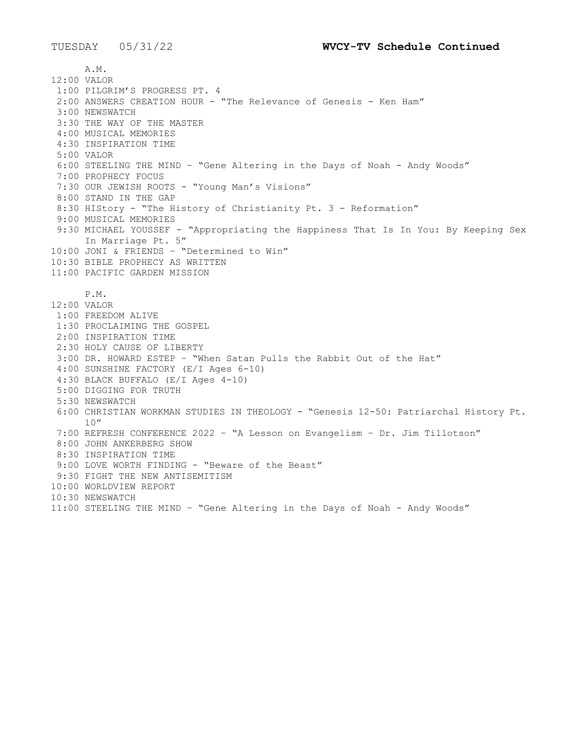A.M. 12:00 VALOR 1:00 PILGRIM'S PROGRESS PT. 4 2:00 ANSWERS CREATION HOUR - "The Relevance of Genesis - Ken Ham" 3:00 NEWSWATCH 3:30 THE WAY OF THE MASTER 4:00 MUSICAL MEMORIES 4:30 INSPIRATION TIME 5:00 VALOR 6:00 STEELING THE MIND – "Gene Altering in the Days of Noah - Andy Woods" 7:00 PROPHECY FOCUS 7:30 OUR JEWISH ROOTS - "Young Man's Visions" 8:00 STAND IN THE GAP 8:30 HIStory - "The History of Christianity Pt. 3 - Reformation" 9:00 MUSICAL MEMORIES 9:30 MICHAEL YOUSSEF - "Appropriating the Happiness That Is In You: By Keeping Sex In Marriage Pt. 5" 10:00 JONI & FRIENDS – "Determined to Win" 10:30 BIBLE PROPHECY AS WRITTEN 11:00 PACIFIC GARDEN MISSION P.M. 12:00 VALOR 1:00 FREEDOM ALIVE 1:30 PROCLAIMING THE GOSPEL 2:00 INSPIRATION TIME 2:30 HOLY CAUSE OF LIBERTY 3:00 DR. HOWARD ESTEP – "When Satan Pulls the Rabbit Out of the Hat" 4:00 SUNSHINE FACTORY (E/I Ages 6-10) 4:30 BLACK BUFFALO (E/I Ages 4-10) 5:00 DIGGING FOR TRUTH 5:30 NEWSWATCH 6:00 CHRISTIAN WORKMAN STUDIES IN THEOLOGY - "Genesis 12-50: Patriarchal History Pt. 10" 7:00 REFRESH CONFERENCE 2022 – "A Lesson on Evangelism – Dr. Jim Tillotson" 8:00 JOHN ANKERBERG SHOW 8:30 INSPIRATION TIME 9:00 LOVE WORTH FINDING - "Beware of the Beast" 9:30 FIGHT THE NEW ANTISEMITISM 10:00 WORLDVIEW REPORT 10:30 NEWSWATCH 11:00 STEELING THE MIND – "Gene Altering in the Days of Noah - Andy Woods"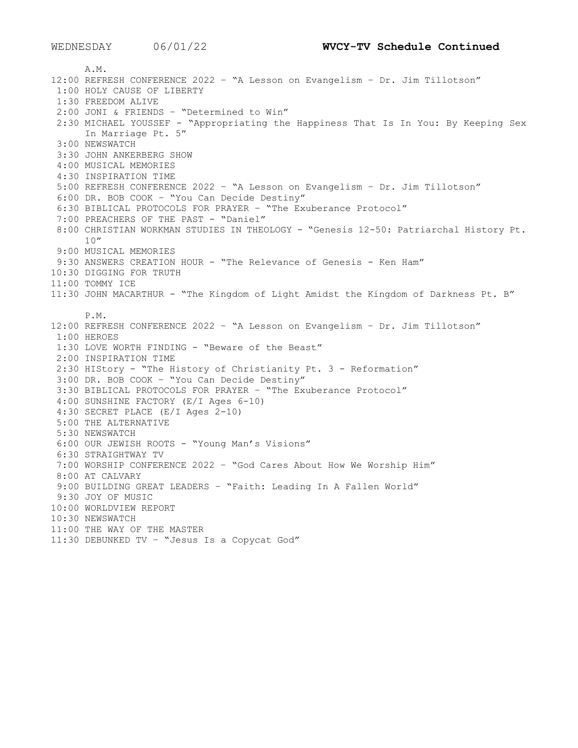A.M. 12:00 REFRESH CONFERENCE 2022 – "A Lesson on Evangelism – Dr. Jim Tillotson" 1:00 HOLY CAUSE OF LIBERTY 1:30 FREEDOM ALIVE 2:00 JONI & FRIENDS – "Determined to Win" 2:30 MICHAEL YOUSSEF - "Appropriating the Happiness That Is In You: By Keeping Sex In Marriage Pt. 5" 3:00 NEWSWATCH 3:30 JOHN ANKERBERG SHOW 4:00 MUSICAL MEMORIES 4:30 INSPIRATION TIME 5:00 REFRESH CONFERENCE 2022 – "A Lesson on Evangelism – Dr. Jim Tillotson" 6:00 DR. BOB COOK – "You Can Decide Destiny" 6:30 BIBLICAL PROTOCOLS FOR PRAYER – "The Exuberance Protocol" 7:00 PREACHERS OF THE PAST - "Daniel" 8:00 CHRISTIAN WORKMAN STUDIES IN THEOLOGY - "Genesis 12-50: Patriarchal History Pt. 10" 9:00 MUSICAL MEMORIES 9:30 ANSWERS CREATION HOUR - "The Relevance of Genesis - Ken Ham" 10:30 DIGGING FOR TRUTH 11:00 TOMMY ICE 11:30 JOHN MACARTHUR - "The Kingdom of Light Amidst the Kingdom of Darkness Pt. B" P.M. 12:00 REFRESH CONFERENCE 2022 – "A Lesson on Evangelism – Dr. Jim Tillotson" 1:00 HEROES 1:30 LOVE WORTH FINDING - "Beware of the Beast" 2:00 INSPIRATION TIME 2:30 HIStory - "The History of Christianity Pt. 3 - Reformation" 3:00 DR. BOB COOK – "You Can Decide Destiny" 3:30 BIBLICAL PROTOCOLS FOR PRAYER – "The Exuberance Protocol" 4:00 SUNSHINE FACTORY (E/I Ages 6-10) 4:30 SECRET PLACE (E/I Ages 2-10) 5:00 THE ALTERNATIVE 5:30 NEWSWATCH 6:00 OUR JEWISH ROOTS - "Young Man's Visions" 6:30 STRAIGHTWAY TV 7:00 WORSHIP CONFERENCE 2022 – "God Cares About How We Worship Him" 8:00 AT CALVARY 9:00 BUILDING GREAT LEADERS – "Faith: Leading In A Fallen World" 9:30 JOY OF MUSIC 10:00 WORLDVIEW REPORT 10:30 NEWSWATCH 11:00 THE WAY OF THE MASTER 11:30 DEBUNKED TV – "Jesus Is a Copycat God"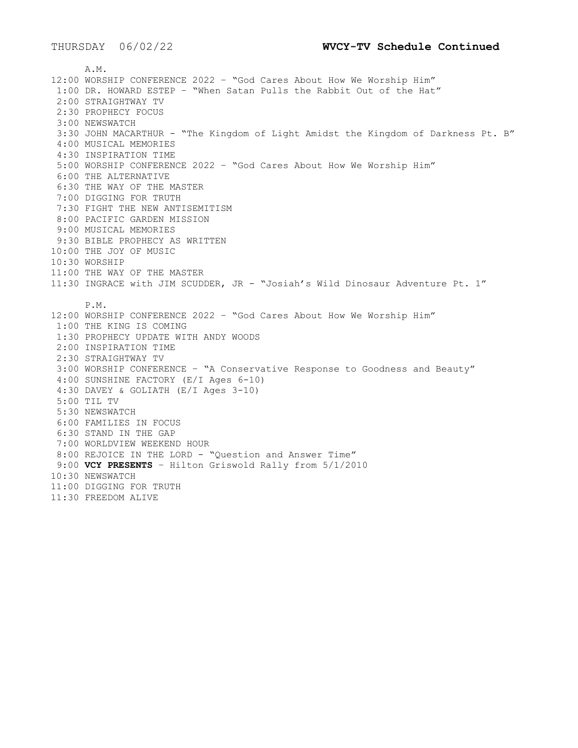A.M. 12:00 WORSHIP CONFERENCE 2022 – "God Cares About How We Worship Him" 1:00 DR. HOWARD ESTEP – "When Satan Pulls the Rabbit Out of the Hat" 2:00 STRAIGHTWAY TV 2:30 PROPHECY FOCUS 3:00 NEWSWATCH 3:30 JOHN MACARTHUR - "The Kingdom of Light Amidst the Kingdom of Darkness Pt. B" 4:00 MUSICAL MEMORIES 4:30 INSPIRATION TIME 5:00 WORSHIP CONFERENCE 2022 – "God Cares About How We Worship Him" 6:00 THE ALTERNATIVE 6:30 THE WAY OF THE MASTER 7:00 DIGGING FOR TRUTH 7:30 FIGHT THE NEW ANTISEMITISM 8:00 PACIFIC GARDEN MISSION 9:00 MUSICAL MEMORIES 9:30 BIBLE PROPHECY AS WRITTEN 10:00 THE JOY OF MUSIC 10:30 WORSHIP 11:00 THE WAY OF THE MASTER 11:30 INGRACE with JIM SCUDDER, JR - "Josiah's Wild Dinosaur Adventure Pt. 1" P.M. 12:00 WORSHIP CONFERENCE 2022 – "God Cares About How We Worship Him" 1:00 THE KING IS COMING 1:30 PROPHECY UPDATE WITH ANDY WOODS 2:00 INSPIRATION TIME 2:30 STRAIGHTWAY TV 3:00 WORSHIP CONFERENCE – "A Conservative Response to Goodness and Beauty" 4:00 SUNSHINE FACTORY (E/I Ages 6-10) 4:30 DAVEY & GOLIATH (E/I Ages 3-10) 5:00 TIL TV 5:30 NEWSWATCH 6:00 FAMILIES IN FOCUS 6:30 STAND IN THE GAP 7:00 WORLDVIEW WEEKEND HOUR 8:00 REJOICE IN THE LORD - "Question and Answer Time" 9:00 **VCY PRESENTS** – Hilton Griswold Rally from 5/1/2010 10:30 NEWSWATCH 11:00 DIGGING FOR TRUTH 11:30 FREEDOM ALIVE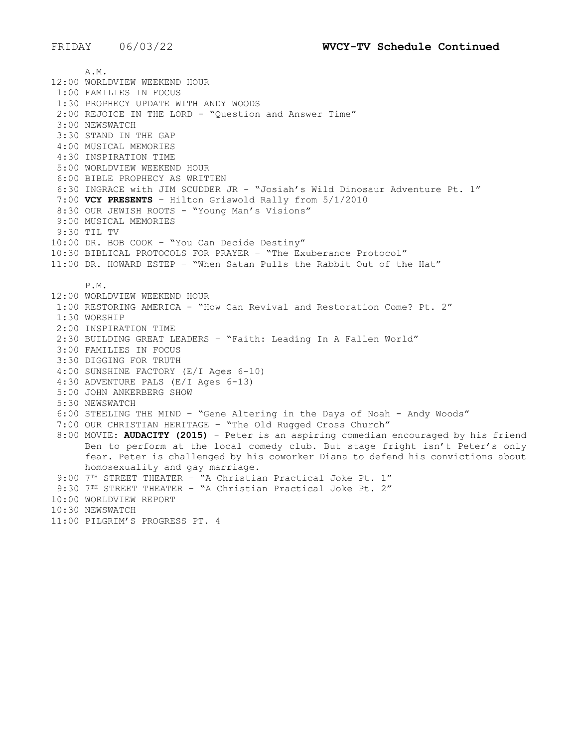A.M. 12:00 WORLDVIEW WEEKEND HOUR 1:00 FAMILIES IN FOCUS 1:30 PROPHECY UPDATE WITH ANDY WOODS 2:00 REJOICE IN THE LORD - "Question and Answer Time" 3:00 NEWSWATCH 3:30 STAND IN THE GAP 4:00 MUSICAL MEMORIES 4:30 INSPIRATION TIME 5:00 WORLDVIEW WEEKEND HOUR 6:00 BIBLE PROPHECY AS WRITTEN 6:30 INGRACE with JIM SCUDDER JR - "Josiah's Wild Dinosaur Adventure Pt. 1" 7:00 **VCY PRESENTS** – Hilton Griswold Rally from 5/1/2010 8:30 OUR JEWISH ROOTS - "Young Man's Visions" 9:00 MUSICAL MEMORIES 9:30 TIL TV 10:00 DR. BOB COOK – "You Can Decide Destiny" 10:30 BIBLICAL PROTOCOLS FOR PRAYER – "The Exuberance Protocol" 11:00 DR. HOWARD ESTEP – "When Satan Pulls the Rabbit Out of the Hat" P.M. 12:00 WORLDVIEW WEEKEND HOUR 1:00 RESTORING AMERICA - "How Can Revival and Restoration Come? Pt. 2" 1:30 WORSHIP 2:00 INSPIRATION TIME 2:30 BUILDING GREAT LEADERS – "Faith: Leading In A Fallen World" 3:00 FAMILIES IN FOCUS 3:30 DIGGING FOR TRUTH 4:00 SUNSHINE FACTORY (E/I Ages 6-10) 4:30 ADVENTURE PALS (E/I Ages 6-13) 5:00 JOHN ANKERBERG SHOW 5:30 NEWSWATCH 6:00 STEELING THE MIND – "Gene Altering in the Days of Noah - Andy Woods" 7:00 OUR CHRISTIAN HERITAGE – "The Old Rugged Cross Church" 8:00 MOVIE: **AUDACITY (2015)** - Peter is an aspiring comedian encouraged by his friend Ben to perform at the local comedy club. But stage fright isn't Peter's only fear. Peter is challenged by his coworker Diana to defend his convictions about homosexuality and gay marriage. 9:00 7TH STREET THEATER – "A Christian Practical Joke Pt. 1" 9:30 7TH STREET THEATER – "A Christian Practical Joke Pt. 2" 10:00 WORLDVIEW REPORT 10:30 NEWSWATCH 11:00 PILGRIM'S PROGRESS PT. 4